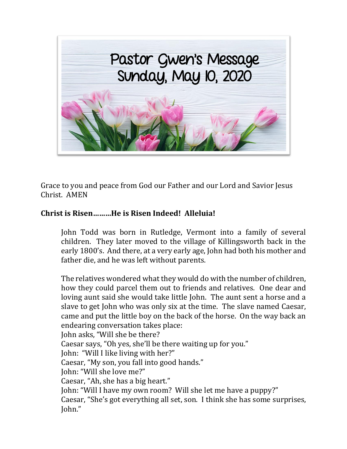

Grace to you and peace from God our Father and our Lord and Savior Jesus Christ. AMEN

## **Christ is Risen………He is Risen Indeed! Alleluia!**

John Todd was born in Rutledge, Vermont into a family of several children. They later moved to the village of Killingsworth back in the early 1800's. And there, at a very early age, John had both his mother and father die, and he was left without parents.

The relatives wondered what they would do with the number of children, how they could parcel them out to friends and relatives. One dear and loving aunt said she would take little John. The aunt sent a horse and a slave to get John who was only six at the time. The slave named Caesar, came and put the little boy on the back of the horse. On the way back an endearing conversation takes place: John asks, "Will she be there? Caesar says, "Oh yes, she'll be there waiting up for you." John: "Will I like living with her?" Caesar, "My son, you fall into good hands." John: "Will she love me?" Caesar, "Ah, she has a big heart." John: "Will I have my own room? Will she let me have a puppy?" Caesar, "She's got everything all set, son. I think she has some surprises, John."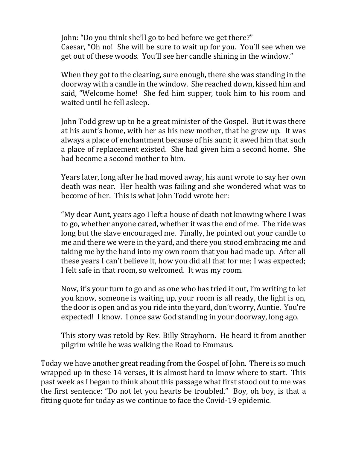John: "Do you think she'll go to bed before we get there?" Caesar, "Oh no! She will be sure to wait up for you. You'll see when we get out of these woods. You'll see her candle shining in the window."

When they got to the clearing, sure enough, there she was standing in the doorway with a candle in the window. She reached down, kissed him and said, "Welcome home! She fed him supper, took him to his room and waited until he fell asleep.

John Todd grew up to be a great minister of the Gospel. But it was there at his aunt's home, with her as his new mother, that he grew up. It was always a place of enchantment because of his aunt; it awed him that such a place of replacement existed. She had given him a second home. She had become a second mother to him.

Years later, long after he had moved away, his aunt wrote to say her own death was near. Her health was failing and she wondered what was to become of her. This is what John Todd wrote her:

"My dear Aunt, years ago I left a house of death not knowing where I was to go, whether anyone cared, whether it was the end of me. The ride was long but the slave encouraged me. Finally, he pointed out your candle to me and there we were in the yard, and there you stood embracing me and taking me by the hand into my own room that you had made up. After all these years I can't believe it, how you did all that for me; I was expected; I felt safe in that room, so welcomed. It was my room.

Now, it's your turn to go and as one who has tried it out, I'm writing to let you know, someone is waiting up, your room is all ready, the light is on, the door is open and as you ride into the yard, don't worry, Auntie. You're expected! I know. I once saw God standing in your doorway, long ago.

This story was retold by Rev. Billy Strayhorn. He heard it from another pilgrim while he was walking the Road to Emmaus.

Today we have another great reading from the Gospel of John. There is so much wrapped up in these 14 verses, it is almost hard to know where to start. This past week as I began to think about this passage what first stood out to me was the first sentence: "Do not let you hearts be troubled." Boy, oh boy, is that a fitting quote for today as we continue to face the Covid-19 epidemic.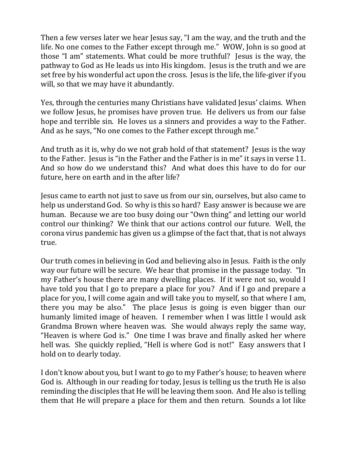Then a few verses later we hear Jesus say, "I am the way, and the truth and the life. No one comes to the Father except through me." WOW, John is so good at those "I am" statements. What could be more truthful? Jesus is the way, the pathway to God as He leads us into His kingdom. Jesus is the truth and we are set free by his wonderful act upon the cross. Jesus is the life, the life-giver if you will, so that we may have it abundantly.

Yes, through the centuries many Christians have validated Jesus' claims. When we follow Jesus, he promises have proven true. He delivers us from our false hope and terrible sin. He loves us a sinners and provides a way to the Father. And as he says, "No one comes to the Father except through me."

And truth as it is, why do we not grab hold of that statement? Jesus is the way to the Father. Jesus is "in the Father and the Father is in me" it says in verse 11. And so how do we understand this? And what does this have to do for our future, here on earth and in the after life?

Jesus came to earth not just to save us from our sin, ourselves, but also came to help us understand God. So why is this so hard? Easy answer is because we are human. Because we are too busy doing our "Own thing" and letting our world control our thinking? We think that our actions control our future. Well, the corona virus pandemic has given us a glimpse of the fact that, that is not always true.

Our truth comes in believing in God and believing also in Jesus. Faith is the only way our future will be secure. We hear that promise in the passage today. "In my Father's house there are many dwelling places. If it were not so, would I have told you that I go to prepare a place for you? And if I go and prepare a place for you, I will come again and will take you to myself, so that where I am, there you may be also." The place Jesus is going is even bigger than our humanly limited image of heaven. I remember when I was little I would ask Grandma Brown where heaven was. She would always reply the same way, "Heaven is where God is." One time I was brave and finally asked her where hell was. She quickly replied, "Hell is where God is not!" Easy answers that I hold on to dearly today.

I don't know about you, but I want to go to my Father's house; to heaven where God is. Although in our reading for today, Jesus is telling us the truth He is also reminding the disciples that He will be leaving them soon. And He also is telling them that He will prepare a place for them and then return. Sounds a lot like